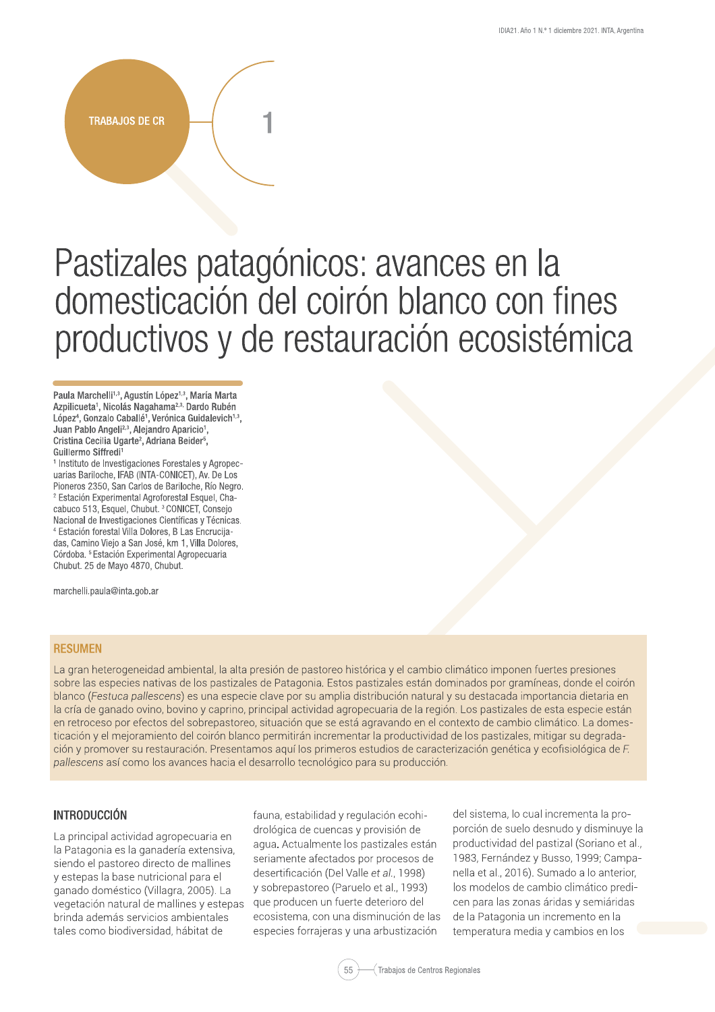# **TRABAJOS DE CR**

# Pastizales patagónicos: avances en la domesticación del coirón blanco con fines productivos y de restauración ecosistémica

Paula Marchelli<sup>1,3</sup>, Agustín López<sup>1,3</sup>, María Marta Azpilicueta<sup>1</sup>, Nicolás Nagahama<sup>2,3,</sup> Dardo Rubén López<sup>4</sup>, Gonzalo Caballé<sup>1</sup>, Verónica Guidalevich<sup>1,3</sup>, Juan Pablo Angeli<sup>2,3</sup>, Alejandro Aparicio<sup>1</sup>, Cristina Cecilia Ugarte<sup>2</sup>, Adriana Beider<sup>5</sup>, Guillermo Siffredi<sup>1</sup>

<sup>1</sup> Instituto de Investigaciones Forestales y Agropecuarias Bariloche, IFAB (INTA-CONICET), Av. De Los Pioneros 2350, San Carlos de Bariloche, Río Negro. <sup>2</sup> Estación Experimental Agroforestal Esquel, Chacabuco 513, Esquel, Chubut.<sup>3</sup> CONICET, Consejo Nacional de Investigaciones Científicas y Técnicas. <sup>4</sup> Estación forestal Villa Dolores, B Las Encrucijadas, Camino Viejo a San José, km 1, Villa Dolores, Córdoba.<sup>5</sup> Estación Experimental Agropecuaria Chubut. 25 de Mayo 4870, Chubut.

marchelli.paula@inta.gob.ar

#### **RESUMEN**

La gran heterogeneidad ambiental, la alta presión de pastoreo histórica y el cambio climático imponen fuertes presiones sobre las especies nativas de los pastizales de Patagonia. Estos pastizales están dominados por gramíneas, donde el coirón blanco (Festuca pallescens) es una especie clave por su amplia distribución natural y su destacada importancia dietaria en la cría de ganado ovino, bovino y caprino, principal actividad agropecuaria de la región. Los pastizales de esta especie están en retroceso por efectos del sobrepastoreo, situación que se está agravando en el contexto de cambio climático. La domesticación y el mejoramiento del coirón blanco permitirán incrementar la productividad de los pastizales, mitigar su degradación y promover su restauración. Presentamos aquí los primeros estudios de caracterización genética y ecofisiológica de F. pallescens así como los avances hacia el desarrollo tecnológico para su producción.

# **INTRODUCCIÓN**

La principal actividad agropecuaria en la Patagonia es la ganadería extensiva. siendo el pastoreo directo de mallines y estepas la base nutricional para el ganado doméstico (Villagra, 2005). La vegetación natural de mallines y estepas brinda además servicios ambientales tales como biodiversidad, hábitat de

fauna, estabilidad y regulación ecohidrológica de cuencas y provisión de aqua. Actualmente los pastizales están seriamente afectados por procesos de desertificación (Del Valle et al., 1998) y sobrepastoreo (Paruelo et al., 1993) que producen un fuerte deterioro del ecosistema, con una disminución de las especies forrajeras y una arbustización

del sistema, lo cual incrementa la proporción de suelo desnudo y disminuye la productividad del pastizal (Soriano et al., 1983, Fernández y Busso, 1999; Campanella et al., 2016). Sumado a lo anterior, los modelos de cambio climático predicen para las zonas áridas y semiáridas de la Patagonia un incremento en la temperatura media y cambios en los

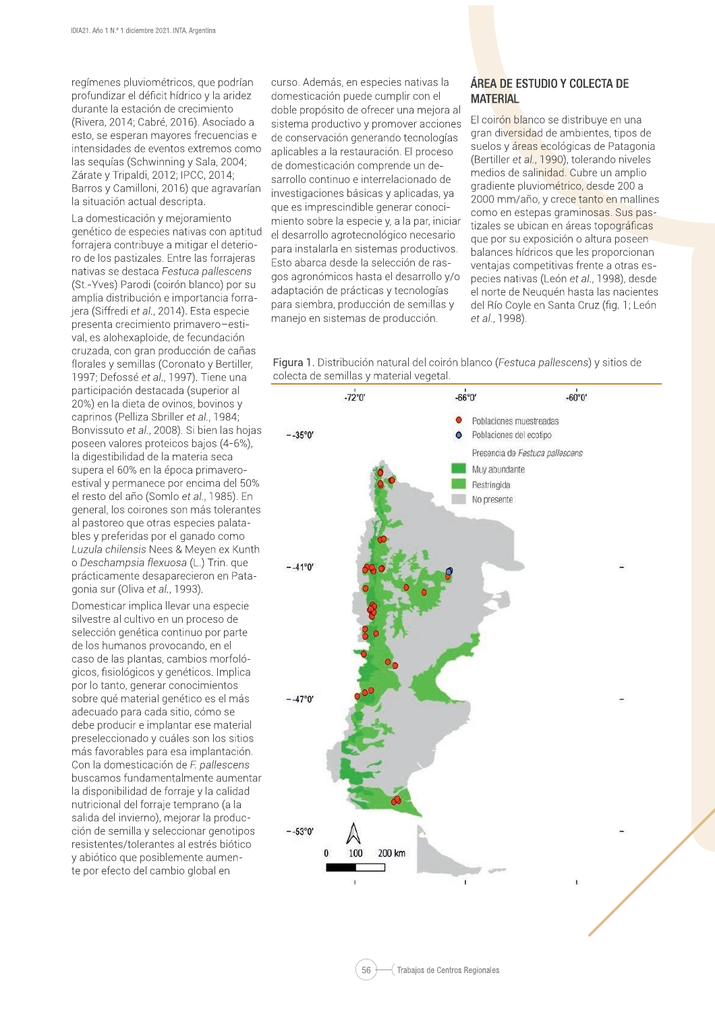regímenes pluviométricos, que podrían profundizar el déficit hídrico y la aridez durante la estación de crecimiento (Rivera, 2014; Cabré, 2016). Asociado a esto, se esperan mayores frecuencias e intensidades de eventos extremos como las seguías (Schwinning y Sala, 2004; Zárate y Tripaldi, 2012; IPCC, 2014; Barros y Camilloni, 2016) que agravarían la situación actual descripta.

La domesticación y mejoramiento genético de especies nativas con aptitud forrajera contribuye a mitigar el deterioro de los pastizales. Entre las forrajeras nativas se destaca Festuca pallescens (St.-Yves) Parodi (coirón blanco) por su amplia distribución e importancia forrajera (Siffredi et al., 2014). Esta especie presenta crecimiento primavero-estival, es alohexaploide, de fecundación cruzada, con gran producción de cañas florales y semillas (Coronato y Bertiller, 1997; Defossé et al., 1997). Tiene una participación destacada (superior al 20%) en la dieta de ovinos, bovinos y caprinos (Pelliza Sbriller et al., 1984; Bonvissuto et al., 2008). Si bien las hojas poseen valores proteicos bajos (4-6%), la digestibilidad de la materia seca supera el 60% en la época primaveroestival y permanece por encima del 50% el resto del año (Somlo et al., 1985). En general, los coirones son más tolerantes al pastoreo que otras especies palatables y preferidas por el ganado como Luzula chilensis Nees & Meyen ex Kunth o Deschampsia flexuosa (L.) Trin. que prácticamente desaparecieron en Patagonia sur (Oliva et al., 1993).

Domesticar implica llevar una especie silvestre al cultivo en un proceso de selección genética continuo por parte de los humanos provocando, en el caso de las plantas, cambios morfológicos, fisiológicos y genéticos. Implica por lo tanto, generar conocimientos sobre qué material genético es el más adecuado para cada sitio, cómo se debe producir e implantar ese material preseleccionado y cuáles son los sitios más favorables para esa implantación. Con la domesticación de F. pallescens buscamos fundamentalmente aumentar la disponibilidad de forraje y la calidad nutricional del forraje temprano (a la salida del invierno), mejorar la producción de semilla y seleccionar genotipos resistentes/tolerantes al estrés biótico y abiótico que posiblemente aumente por efecto del cambio global en

curso. Además, en especies nativas la domesticación puede cumplir con el doble propósito de ofrecer una mejora al sistema productivo y promover acciones de conservación generando tecnologías aplicables a la restauración. El proceso de domesticación comprende un desarrollo continuo e interrelacionado de investigaciones básicas y aplicadas, ya que es imprescindible generar conocimiento sobre la especie y, a la par, iniciar el desarrollo agrotecnológico necesario para instalarla en sistemas productivos. Esto abarca desde la selección de rasgos agronómicos hasta el desarrollo y/o adaptación de prácticas y tecnologías para siembra, producción de semillas y manejo en sistemas de producción.

# ÁREA DE ESTUDIO Y COLECTA DE **MATERIAL**

El coirón blanco se distribuye en una gran diversidad de ambientes, tipos de suelos y áreas ecológicas de Patagonia (Bertiller et al., 1990), tolerando niveles medios de salinidad. Cubre un amplio gradiente pluviométrico, desde 200 a 2000 mm/año, y crece tanto en mallines como en estepas graminosas. Sus pastizales se ubican en áreas topográficas que por su exposición o altura poseen balances hídricos que les proporcionan ventajas competitivas frente a otras especies nativas (León et al., 1998), desde el norte de Neuquén hasta las nacientes del Río Coyle en Santa Cruz (fig. 1; León et al., 1998).

Figura 1. Distribución natural del coirón blanco (Festuca pallescens) y sitios de colecta de semillas y material vegetal.

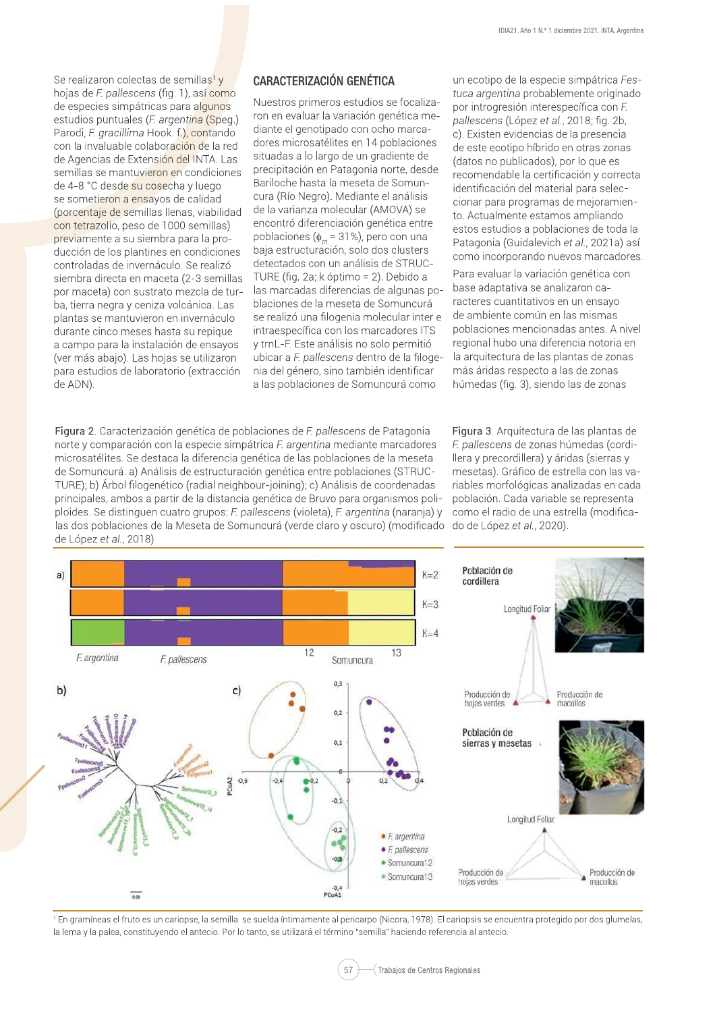Se realizaron colectas de semillas<sup>1</sup> y hojas de F. pallescens (fig. 1), así como de especies simpátricas para algunos estudios puntuales (F. argentina (Speg.) Parodi, F. gracillima Hook. f.), contando con la invaluable colaboración de la red de Agencias de Extensión del INTA. Las semillas se mantuvieron en condiciones de 4-8 °C desde su cosecha y luego se sometieron a ensayos de calidad (porcentaje de semillas llenas, viabilidad con tetrazolio, peso de 1000 semillas) previamente a su siembra para la producción de los plantines en condiciones controladas de invernáculo. Se realizó siembra directa en maceta (2-3 semillas por maceta) con sustrato mezcla de turba, tierra negra y ceniza volcánica. Las plantas se mantuvieron en invernáculo durante cinco meses hasta su repique a campo para la instalación de ensavos (ver más abajo). Las hojas se utilizaron para estudios de laboratorio (extracción de ADN)

# **CARACTERIZACIÓN GENÉTICA**

Nuestros primeros estudios se focalizaron en evaluar la variación genética mediante el genotipado con ocho marcadores microsatélites en 14 poblaciones situadas a lo largo de un gradiente de precipitación en Patagonia norte, desde Bariloche hasta la meseta de Somuncura (Río Negro). Mediante el análisis de la varianza molecular (AMOVA) se encontró diferenciación genética entre poblaciones ( $\phi_{\text{ot}}$  = 31%), pero con una baja estructuración, solo dos clusters detectados con un análisis de STRUC-TURE (fig. 2a; k óptimo = 2). Debido a las marcadas diferencias de algunas poblaciones de la meseta de Somuncurá se realizó una filogenia molecular inter e intraespecífica con los marcadores ITS y trnL-F. Este análisis no solo permitió ubicar a F. pallescens dentro de la filogenia del género, sino también identificar a las poblaciones de Somuncurá como

Figura 2. Caracterización genética de poblaciones de F. pallescens de Patagonia norte y comparación con la especie simpátrica F. argentina mediante marcadores microsatélites. Se destaca la diferencia genética de las poblaciones de la meseta de Somuncurá. a) Análisis de estructuración genética entre poblaciones (STRUC-TURE); b) Árbol filogenético (radial neighbour-joining); c) Análisis de coordenadas principales, ambos a partir de la distancia genética de Bruvo para organismos poliploides. Se distinguen cuatro grupos: F. pallescens (violeta), F. argentina (naranja) y las dos poblaciones de la Meseta de Somuncurá (verde claro y oscuro) (modificado de López et al., 2018)

un ecotipo de la especie simpátrica Festuca argentina probablemente originado por introgresión interespecífica con F. pallescens (López et al., 2018; fig. 2b, c). Existen evidencias de la presencia de este ecotipo híbrido en otras zonas (datos no publicados), por lo que es recomendable la certificación y correcta identificación del material para seleccionar para programas de mejoramiento. Actualmente estamos ampliando estos estudios a poblaciones de toda la Patagonia (Guidalevich et al., 2021a) así como incorporando nuevos marcadores.

Para evaluar la variación genética con base adaptativa se analizaron caracteres cuantitativos en un ensavo de ambiente común en las mismas poblaciones mencionadas antes. A nivel regional hubo una diferencia notoria en la arquitectura de las plantas de zonas más áridas respecto a las de zonas húmedas (fig. 3), siendo las de zonas

Figura 3. Arquitectura de las plantas de F. pallescens de zonas húmedas (cordillera y precordillera) y áridas (sierras y mesetas). Gráfico de estrella con las variables morfológicas analizadas en cada población. Cada variable se representa como el radio de una estrella (modificado de López et al., 2020).



1 En gramíneas el fruto es un cariopse, la semilla se suelda íntimamente al pericarpo (Nicora, 1978). El cariopsis se encuentra protegido por dos glumelas, la lema y la palea, constituyendo el antecio. Por lo tanto, se utilizará el término "semilla" haciendo referencia al antecio.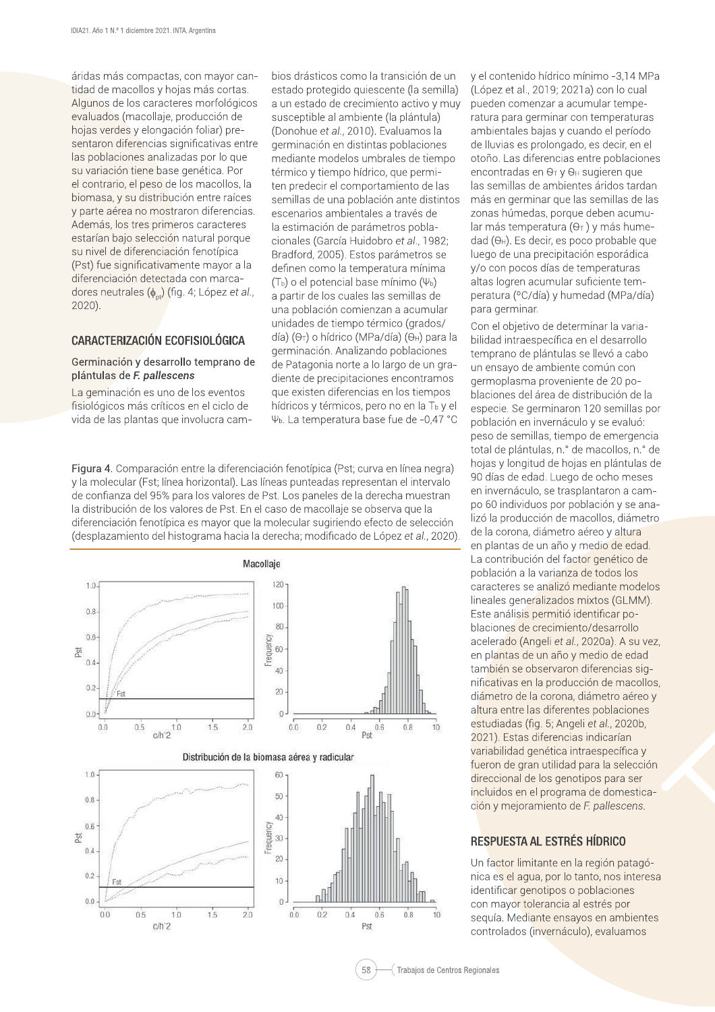áridas más compactas, con mayor cantidad de macollos y hojas más cortas. Algunos de los caracteres morfológicos evaluados (macollaje, producción de hojas verdes y elongación foliar) presentaron diferencias significativas entre las poblaciones analizadas por lo que su variación tiene base genética. Por el contrario, el peso de los macollos, la biomasa, y su distribución entre raíces y parte aérea no mostraron diferencias. Además, los tres primeros caracteres estarían bajo selección natural porque su nivel de diferenciación fenotípica (Pst) fue significativamente mayor a la diferenciación detectada con marcadores neutrales  $(\phi_{nt})$  (fig. 4; López et al.,  $2020$ ).

# CARACTERIZACIÓN ECOFISIOLÓGICA

#### Germinación y desarrollo temprano de plántulas de F. pallescens

La geminación es uno de los eventos fisiológicos más críticos en el ciclo de vida de las plantas que involucra cambios drásticos como la transición de un estado protegido quiescente (la semilla) a un estado de crecimiento activo y muy susceptible al ambiente (la plántula) (Donohue et al., 2010). Evaluamos la germinación en distintas poblaciones mediante modelos umbrales de tiempo térmico y tiempo hídrico, que permiten predecir el comportamiento de las semillas de una población ante distintos escenarios ambientales a través de la estimación de parámetros poblacionales (García Huidobro et al., 1982; Bradford, 2005). Estos parámetros se definen como la temperatura mínima  $(T<sub>b</sub>)$  o el potencial base mínimo  $(\Psi<sub>b</sub>)$ a partir de los cuales las semillas de una población comienzan a acumular unidades de tiempo térmico (grados/ día) ( $\Theta$ T) o hídrico (MPa/día) ( $\Theta$ н) para la germinación. Analizando poblaciones de Patagonia norte a lo largo de un gradiente de precipitaciones encontramos que existen diferencias en los tiempos hídricos y térmicos, pero no en la T<sub>b</sub> y el  $\Psi_{b}$ . La temperatura base fue de -0,47 °C

Figura 4. Comparación entre la diferenciación fenotípica (Pst; curva en línea negra) y la molecular (Fst; línea horizontal). Las líneas punteadas representan el intervalo de confianza del 95% para los valores de Pst. Los paneles de la derecha muestran la distribución de los valores de Pst. En el caso de macollaje se observa que la diferenciación fenotípica es mayor que la molecular sugiriendo efecto de selección (desplazamiento del histograma hacia la derecha; modificado de López et al., 2020).



v el contenido hídrico mínimo -3.14 MPa (López et al., 2019; 2021a) con lo cual pueden comenzar a acumular temperatura para germinar con temperaturas ambientales bajas y cuando el período de lluvias es prolongado, es decir, en el otoño. Las diferencias entre poblaciones encontradas en  $\Theta$ <sup>T</sup> y  $\Theta$ <sup>H</sup> sugieren que las semillas de ambientes áridos tardan más en germinar que las semillas de las zonas húmedas, porque deben acumular más temperatura ( $\Theta$ <sup>T</sup>) y más hume $d$ ad ( $\Theta$ <sup>H</sup>). Es decir, es poco probable que luego de una precipitación esporádica y/o con pocos días de temperaturas altas logren acumular suficiente temperatura (°C/día) y humedad (MPa/día) para germinar.

Con el objetivo de determinar la variabilidad intraespecífica en el desarrollo temprano de plántulas se llevó a cabo un ensayo de ambiente común con germoplasma proveniente de 20 poblaciones del área de distribución de la especie. Se germinaron 120 semillas por población en invernáculo y se evaluó: peso de semillas, tiempo de emergencia total de plántulas, n.º de macollos, n.º de hojas y longitud de hojas en plántulas de 90 días de edad. Luego de ocho meses en invernáculo, se trasplantaron a campo 60 individuos por población y se analizó la producción de macollos, diámetro de la corona, diámetro aéreo y altura en plantas de un año y medio de edad. La contribución del factor genético de población a la varianza de todos los caracteres se analizó mediante modelos lineales generalizados mixtos (GLMM). Este análisis permitió identificar poblaciones de crecimiento/desarrollo acelerado (Angeli et al., 2020a). A su vez. en plantas de un año y medio de edad también se observaron diferencias significativas en la producción de macollos, diámetro de la corona, diámetro aéreo y altura entre las diferentes poblaciones estudiadas (fig. 5; Angeli et al., 2020b, 2021). Estas diferencias indicarían variabilidad genética intraespecífica y fueron de gran utilidad para la selección direccional de los genotipos para ser incluidos en el programa de domesticación y mejoramiento de F. pallescens.

# RESPUESTA AL ESTRÉS HÍDRICO

Un factor limitante en la región patagónica es el agua, por lo tanto, nos interesa identificar genotipos o poblaciones con mayor tolerancia al estrés por seguía. Mediante ensavos en ambientes controlados (invernáculo), evaluamos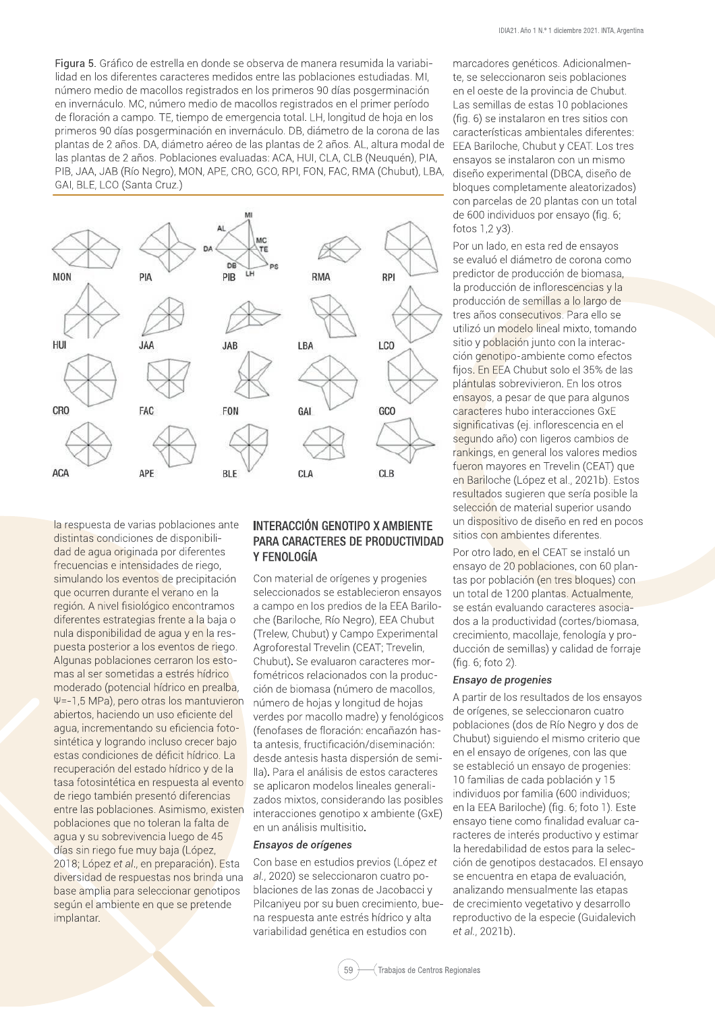Figura 5. Gráfico de estrella en donde se observa de manera resumida la variabilidad en los diferentes caracteres medidos entre las poblaciones estudiadas. MI, número medio de macollos registrados en los primeros 90 días posgerminación en invernáculo. MC, número medio de macollos registrados en el primer período de floración a campo. TE, tiempo de emergencia total. LH, longitud de hoja en los primeros 90 días posgerminación en invernáculo. DB, diámetro de la corona de las plantas de 2 años. DA, diámetro aéreo de las plantas de 2 años. AL, altura modal de las plantas de 2 años. Poblaciones evaluadas: ACA, HUI, CLA, CLB (Neuquén), PIA, PIB, JAA, JAB (Río Negro), MON, APE, CRO, GCO, RPI, FON, FAC, RMA (Chubut), LBA, GAI, BLE, LCO (Santa Cruz.)



la respuesta de varias poblaciones ante distintas condiciones de disponibilidad de agua originada por diferentes frecuencias e intensidades de riego, simulando los eventos de precipitación que ocurren durante el verano en la región. A nivel fisiológico encontramos diferentes estrategias frente a la baja o nula disponibilidad de aqua y en la respuesta posterior a los eventos de riego. Algunas poblaciones cerraron los estomas al ser sometidas a estrés hídrico moderado (potencial hídrico en prealba, Ψ=-1,5 MPa), pero otras los mantuvieron abiertos, haciendo un uso eficiente del agua, incrementando su eficiencia fotosintética y logrando incluso crecer bajo estas condiciones de déficit hídrico. La recuperación del estado hídrico y de la tasa fotosintética en respuesta al evento de riego también presentó diferencias entre las poblaciones. Asimismo, existen poblaciones que no toleran la falta de agua y su sobrevivencia luego de 45 días sin riego fue muy baja (López, 2018: López et al., en preparación). Esta diversidad de respuestas nos brinda una base amplia para seleccionar genotipos según el ambiente en que se pretende implantar.

# INTERACCIÓN GENOTIPO X AMBIENTE PARA CARACTERES DE PRODUCTIVIDAD Y FENOLOGÍA

Con material de orígenes y progenies seleccionados se establecieron ensayos a campo en los predios de la EEA Bariloche (Bariloche, Río Negro), EEA Chubut (Trelew, Chubut) y Campo Experimental Agroforestal Trevelin (CEAT; Trevelin, Chubut). Se evaluaron caracteres morfométricos relacionados con la producción de biomasa (número de macollos, número de hojas y longitud de hojas verdes por macollo madre) y fenológicos (fenofases de floración: encañazón hasta antesis, fructificación/diseminación: desde antesis hasta dispersión de semilla). Para el análisis de estos caracteres se aplicaron modelos lineales generalizados mixtos, considerando las posibles interacciones genotipo x ambiente (GxE) en un análisis multisitio.

#### Ensayos de orígenes

Con base en estudios previos (López et al., 2020) se seleccionaron cuatro poblaciones de las zonas de Jacobacci y Pilcaniyeu por su buen crecimiento, buena respuesta ante estrés hídrico y alta variabilidad genética en estudios con

marcadores genéticos. Adicionalmente, se seleccionaron seis poblaciones en el oeste de la provincia de Chubut. Las semillas de estas 10 poblaciones (fig. 6) se instalaron en tres sitios con características ambientales diferentes: EEA Bariloche, Chubut y CEAT. Los tres ensayos se instalaron con un mismo diseño experimental (DBCA, diseño de bloques completamente aleatorizados) con parcelas de 20 plantas con un total de 600 individuos por ensayo (fig. 6; fotos 1,2 y3).

Por un lado, en esta red de ensayos se evaluó el diámetro de corona como predictor de producción de biomasa. la producción de inflorescencias y la producción de semillas a lo largo de tres años consecutivos. Para ello se utilizó un modelo lineal mixto, tomando sitio y población junto con la interacción genotipo-ambiente como efectos fijos. En EEA Chubut solo el 35% de las plántulas sobrevivieron. En los otros ensayos, a pesar de que para algunos caracteres hubo interacciones GxE significativas (ej. inflorescencia en el segundo año) con ligeros cambios de rankings, en general los valores medios fueron mayores en Trevelin (CEAT) que en Bariloche (López et al., 2021b). Estos resultados sugieren que sería posible la selección de material superior usando un dispositivo de diseño en red en pocos sitios con ambientes diferentes.

Por otro lado, en el CEAT se instaló un ensayo de 20 poblaciones, con 60 plantas por población (en tres bloques) con un total de 1200 plantas. Actualmente, se están evaluando caracteres asociados a la productividad (cortes/biomasa, crecimiento, macollaje, fenología y producción de semillas) y calidad de forraje (fig. 6; foto 2).

#### Ensayo de progenies

A partir de los resultados de los ensayos de orígenes, se seleccionaron cuatro poblaciones (dos de Río Negro y dos de Chubut) siguiendo el mismo criterio que en el ensayo de orígenes, con las que se estableció un ensayo de progenies: 10 familias de cada población y 15 individuos por familia (600 individuos; en la EEA Bariloche) (fig. 6; foto 1). Este ensayo tiene como finalidad evaluar caracteres de interés productivo y estimar la heredabilidad de estos para la selección de genotipos destacados. El ensayo se encuentra en etapa de evaluación, analizando mensualmente las etapas de crecimiento vegetativo y desarrollo reproductivo de la especie (Guidalevich et al., 2021b).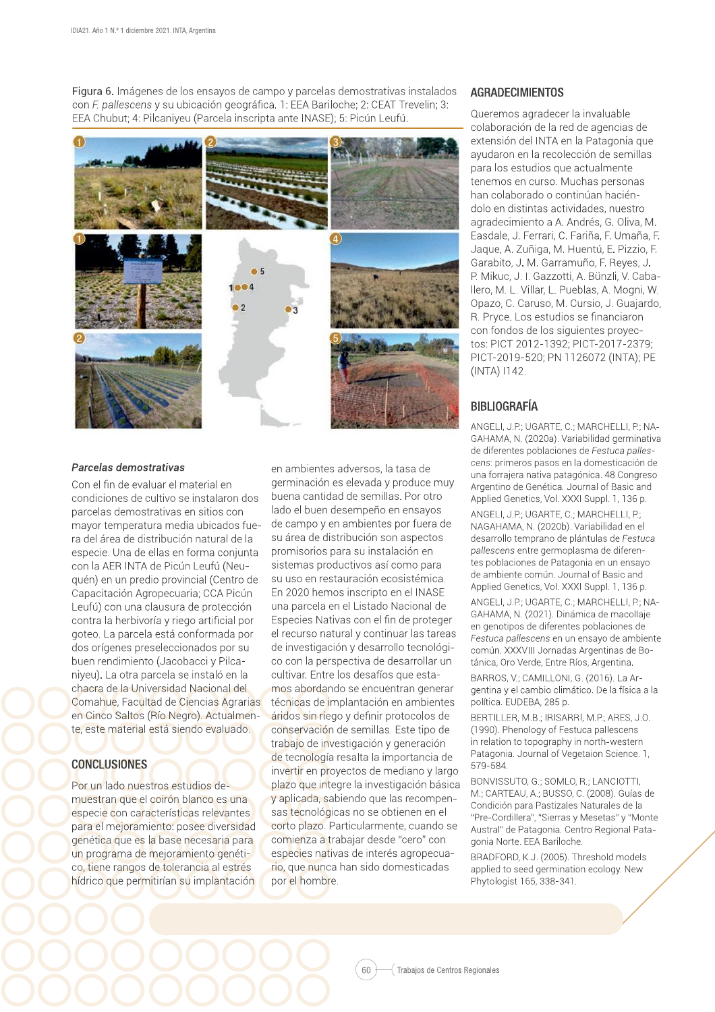Figura 6. Imágenes de los ensavos de campo y parcelas demostrativas instalados con F. pallescens y su ubicación geográfica. 1: EEA Bariloche: 2: CEAT Trevelin: 3: EEA Chubut: 4: Pilcaniyeu (Parcela inscripta ante INASE): 5: Picún Leufú.



#### Parcelas demostrativas

Con el fin de evaluar el material en condiciones de cultivo se instalaron dos parcelas demostrativas en sitios con mayor temperatura media ubicados fuera del área de distribución natural de la especie. Una de ellas en forma conjunta con la AER INTA de Picún Leufú (Neuquén) en un predio provincial (Centro de Capacitación Agropecuaria; CCA Picún Leufú) con una clausura de protección contra la herbivoría y riego artificial por goteo. La parcela está conformada por dos orígenes preseleccionados por su buen rendimiento (Jacobacci y Pilcaniyeu). La otra parcela se instaló en la chacra de la Universidad Nacional del Comahue, Facultad de Ciencias Agrarias en Cinco Saltos (Río Negro). Actualmente, este material está siendo evaluado.

#### **CONCLUSIONES**

Por un lado nuestros estudios demuestran que el coirón blanco es una especie con características relevantes para el mejoramiento: posee diversidad genética que es la base necesaria para un programa de mejoramiento genético, tiene rangos de tolerancia al estrés hídrico que permitirían su implantación

en ambientes adversos, la tasa de germinación es elevada y produce muy buena cantidad de semillas. Por otro lado el buen desempeño en ensavos de campo y en ambientes por fuera de su área de distribución son aspectos promisorios para su instalación en sistemas productivos así como para su uso en restauración ecosistémica. En 2020 hemos inscripto en el INASE una parcela en el Listado Nacional de Especies Nativas con el fin de proteger el recurso natural y continuar las tareas de investigación y desarrollo tecnológico con la perspectiva de desarrollar un cultivar. Entre los desafíos que estamos abordando se encuentran generar técnicas de implantación en ambientes áridos sin riego y definir protocolos de conservación de semillas. Este tipo de trabajo de investigación y generación de tecnología resalta la importancia de invertir en proyectos de mediano y largo plazo que integre la investigación básica y aplicada, sabiendo que las recompensas tecnológicas no se obtienen en el corto plazo. Particularmente, cuando se comienza a trabajar desde "cero" con especies nativas de interés agropecuario, que nunca han sido domesticadas por el hombre.

#### **AGRADECIMIENTOS**

Queremos agradecer la invaluable colaboración de la red de agencias de extensión del INTA en la Patagonia que avudaron en la recolección de semillas para los estudios que actualmente tenemos en curso. Muchas personas han colaborado o continúan haciéndolo en distintas actividades, nuestro agradecimiento a A. Andrés, G. Oliva, M. Easdale, J. Ferrari, C. Fariña, F. Umaña, F. Jaque, A. Zuñiga, M. Huentú, E. Pizzio, F. Garabito, J. M. Garramuño, F. Reyes, J. P. Mikuc, J. I. Gazzotti, A. Bünzli, V. Caba-Ilero, M. L. Villar, L. Pueblas, A. Mogni, W. Opazo, C. Caruso, M. Cursio, J. Guajardo, R. Pryce. Los estudios se financiaron con fondos de los siguientes proyectos: PICT 2012-1392; PICT-2017-2379; PICT-2019-520; PN 1126072 (INTA); PE (INTA) 1142.

# **BIBLIOGRAFÍA**

ANGELI, J.P.; UGARTE, C.; MARCHELLI, P.; NA-GAHAMA, N. (2020a). Variabilidad germinativa de diferentes poblaciones de Festuca pallescens: primeros pasos en la domesticación de una forrajera nativa patagónica. 48 Congreso Argentino de Genética. Journal of Basic and Applied Genetics, Vol. XXXI Suppl. 1, 136 p.

ANGELI, J.P.: UGARTE, C.: MARCHELLI, P.: NAGAHAMA, N. (2020b). Variabilidad en el desarrollo temprano de plántulas de Festuca pallescens entre germoplasma de diferentes poblaciones de Patagonia en un ensayo de ambiente común. Journal of Basic and Applied Genetics, Vol. XXXI Suppl. 1, 136 p.

ANGELI, J.P.; UGARTE, C.; MARCHELLI, P.; NA-GAHAMA, N. (2021). Dinámica de macollaje en genotipos de diferentes poblaciones de Festuca pallescens en un ensayo de ambiente común. XXXVIII Jornadas Argentinas de Botánica, Oro Verde, Entre Ríos, Argentina. BARROS, V.; CAMILLONI, G. (2016). La Ar-

gentina y el cambio climático. De la física a la política. EUDEBA, 285 p.

BERTILLER, M.B.; IRISARRI, M.P.; ARES, J.O. (1990). Phenology of Festuca pallescens in relation to topography in north-western Patagonia. Journal of Vegetaion Science. 1, 579-584

BONVISSUTO, G.; SOMLO, R.; LANCIOTTI, M.; CARTEAU, A.; BUSSO, C. (2008). Guías de Condición para Pastizales Naturales de la "Pre-Cordillera", "Sierras y Mesetas" y "Monte Austral" de Patagonia. Centro Regional Patagonia Norte. EEA Bariloche.

BRADFORD, K.J. (2005). Threshold models applied to seed germination ecology. New Phytologist 165, 338-341.

60 (Trabajos de Centros Regionales